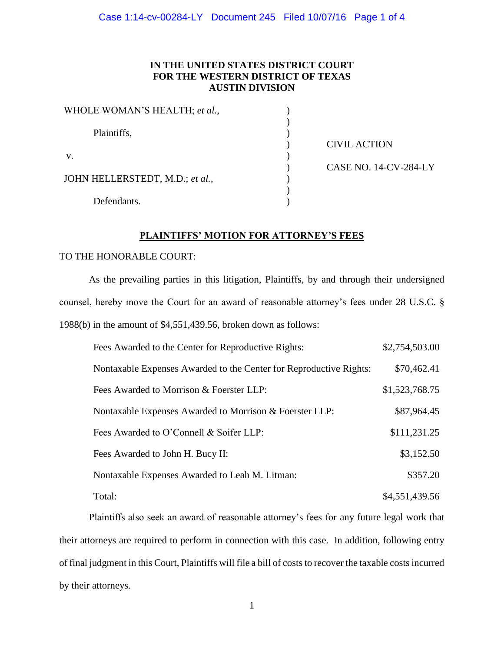# **IN THE UNITED STATES DISTRICT COURT FOR THE WESTERN DISTRICT OF TEXAS AUSTIN DIVISION**

| WHOLE WOMAN'S HEALTH; et al.,   |                              |
|---------------------------------|------------------------------|
|                                 |                              |
| Plaintiffs,                     |                              |
|                                 | <b>CIVIL ACTION</b>          |
| V.                              |                              |
|                                 | <b>CASE NO. 14-CV-284-LY</b> |
| JOHN HELLERSTEDT, M.D.; et al., |                              |
|                                 |                              |
| Defendants.                     |                              |

### **PLAINTIFFS' MOTION FOR ATTORNEY'S FEES**

#### TO THE HONORABLE COURT:

As the prevailing parties in this litigation, Plaintiffs, by and through their undersigned counsel, hereby move the Court for an award of reasonable attorney's fees under 28 U.S.C. § 1988(b) in the amount of \$4,551,439.56, broken down as follows:

| Fees Awarded to the Center for Reproductive Rights:                | \$2,754,503.00 |
|--------------------------------------------------------------------|----------------|
| Nontaxable Expenses Awarded to the Center for Reproductive Rights: | \$70,462.41    |
| Fees Awarded to Morrison & Foerster LLP:                           | \$1,523,768.75 |
| Nontaxable Expenses Awarded to Morrison & Foerster LLP:            | \$87,964.45    |
| Fees Awarded to O'Connell & Soifer LLP:                            | \$111,231.25   |
| Fees Awarded to John H. Bucy II:                                   | \$3,152.50     |
| Nontaxable Expenses Awarded to Leah M. Litman:                     | \$357.20       |
| Total:                                                             | \$4,551,439.56 |

Plaintiffs also seek an award of reasonable attorney's fees for any future legal work that their attorneys are required to perform in connection with this case. In addition, following entry of final judgment in this Court, Plaintiffs will file a bill of costs to recover the taxable costs incurred by their attorneys.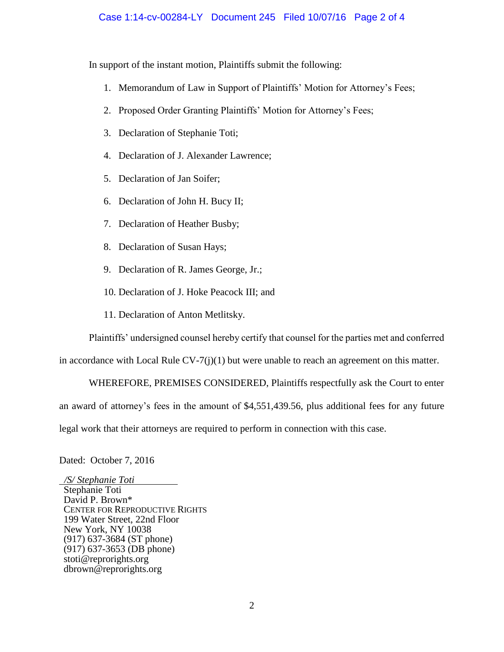## Case 1:14-cv-00284-LY Document 245 Filed 10/07/16 Page 2 of 4

In support of the instant motion, Plaintiffs submit the following:

- 1. Memorandum of Law in Support of Plaintiffs' Motion for Attorney's Fees;
- 2. Proposed Order Granting Plaintiffs' Motion for Attorney's Fees;
- 3. Declaration of Stephanie Toti;
- 4. Declaration of J. Alexander Lawrence;
- 5. Declaration of Jan Soifer;
- 6. Declaration of John H. Bucy II;
- 7. Declaration of Heather Busby;
- 8. Declaration of Susan Hays;
- 9. Declaration of R. James George, Jr.;
- 10. Declaration of J. Hoke Peacock III; and
- 11. Declaration of Anton Metlitsky.

Plaintiffs' undersigned counsel hereby certify that counsel for the parties met and conferred

in accordance with Local Rule  $CV-7(j)(1)$  but were unable to reach an agreement on this matter.

WHEREFORE, PREMISES CONSIDERED, Plaintiffs respectfully ask the Court to enter an award of attorney's fees in the amount of \$4,551,439.56, plus additional fees for any future legal work that their attorneys are required to perform in connection with this case.

Dated: October 7, 2016

 */S/ Stephanie Toti* Stephanie Toti David P. Brown\* CENTER FOR REPRODUCTIVE RIGHTS 199 Water Street, 22nd Floor New York, NY 10038 (917) 637-3684 (ST phone) (917) 637-3653 (DB phone) stoti@reprorights.org dbrown@reprorights.org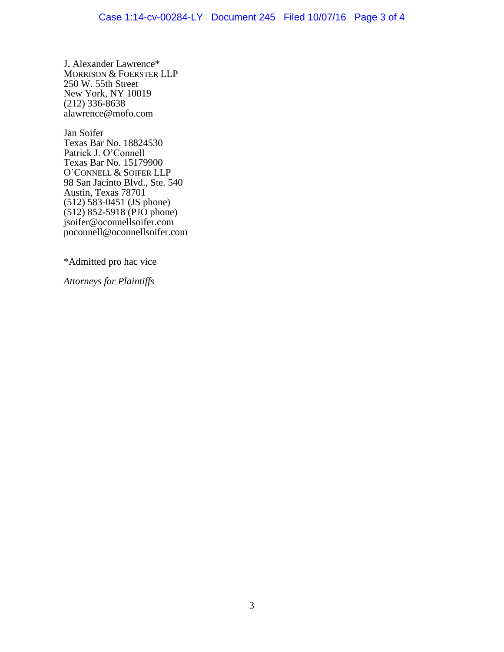J. Alexander Lawrence\* MORRISON & FOERSTER LLP 250 W. 55th Street New York, NY 10019 (212) 336-8638 alawrence@mofo.com

Jan Soifer Texas Bar No. 18824530 Patrick J. O'Connell Texas Bar No. 15179900 O'CONNELL & SOIFER LLP 98 San Jacinto Blvd., Ste. 540 Austin, Texas 78701 (512) 583-0451 (JS phone) (512) 852-5918 (PJO phone) [jsoifer@oconnellsoifer.com](mailto:jsoifer@oconnellsoifer.com) [poconnell@oconnellsoifer.com](mailto:poconnell@oconnellsoifer.com)

\*Admitted pro hac vice

*Attorneys for Plaintiffs*